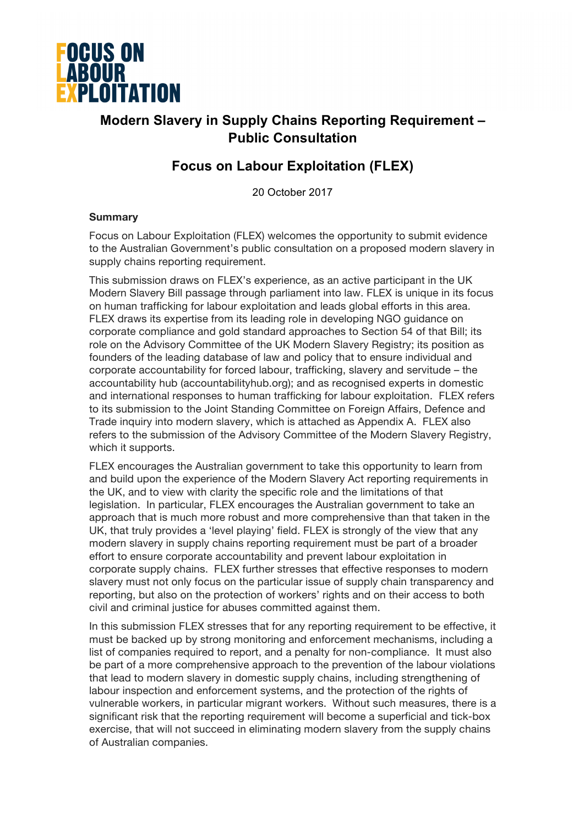

## **Modern Slavery in Supply Chains Reporting Requirement – Public Consultation**

### **Focus on Labour Exploitation (FLEX)**

20 October 2017

#### **Summary**

Focus on Labour Exploitation (FLEX) welcomes the opportunity to submit evidence to the Australian Government's public consultation on a proposed modern slavery in supply chains reporting requirement.

This submission draws on FLEX's experience, as an active participant in the UK Modern Slavery Bill passage through parliament into law. FLEX is unique in its focus on human trafficking for labour exploitation and leads global efforts in this area. FLEX draws its expertise from its leading role in developing NGO guidance on corporate compliance and gold standard approaches to Section 54 of that Bill; its role on the Advisory Committee of the UK Modern Slavery Registry; its position as founders of the leading database of law and policy that to ensure individual and corporate accountability for forced labour, trafficking, slavery and servitude – the accountability hub (accountabilityhub.org); and as recognised experts in domestic and international responses to human trafficking for labour exploitation. FLEX refers to its submission to the Joint Standing Committee on Foreign Affairs, Defence and Trade inquiry into modern slavery, which is attached as Appendix A. FLEX also refers to the submission of the Advisory Committee of the Modern Slavery Registry, which it supports.

FLEX encourages the Australian government to take this opportunity to learn from and build upon the experience of the Modern Slavery Act reporting requirements in the UK, and to view with clarity the specific role and the limitations of that legislation. In particular, FLEX encourages the Australian government to take an approach that is much more robust and more comprehensive than that taken in the UK, that truly provides a 'level playing' field. FLEX is strongly of the view that any modern slavery in supply chains reporting requirement must be part of a broader effort to ensure corporate accountability and prevent labour exploitation in corporate supply chains. FLEX further stresses that effective responses to modern slavery must not only focus on the particular issue of supply chain transparency and reporting, but also on the protection of workers' rights and on their access to both civil and criminal justice for abuses committed against them.

In this submission FLEX stresses that for any reporting requirement to be effective, it must be backed up by strong monitoring and enforcement mechanisms, including a list of companies required to report, and a penalty for non-compliance. It must also be part of a more comprehensive approach to the prevention of the labour violations that lead to modern slavery in domestic supply chains, including strengthening of labour inspection and enforcement systems, and the protection of the rights of vulnerable workers, in particular migrant workers. Without such measures, there is a significant risk that the reporting requirement will become a superficial and tick-box exercise, that will not succeed in eliminating modern slavery from the supply chains of Australian companies.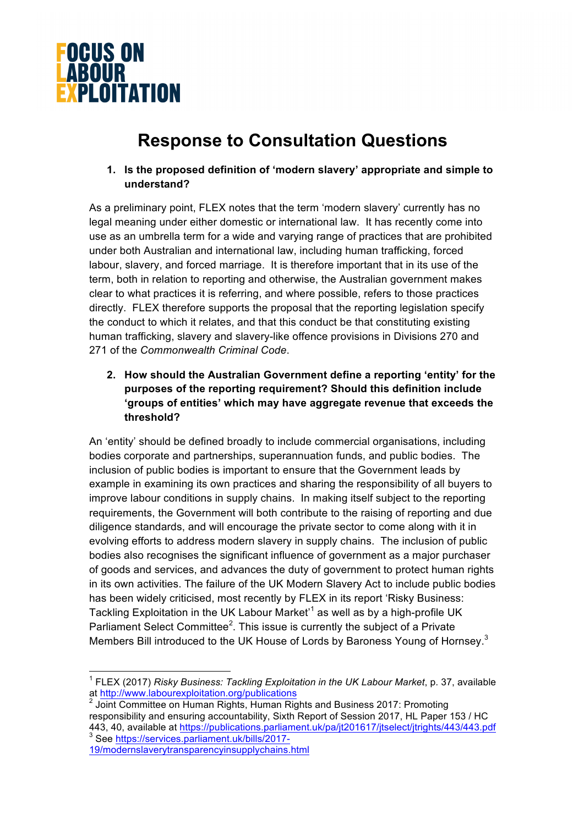

# **Response to Consultation Questions**

**1. Is the proposed definition of 'modern slavery' appropriate and simple to understand?** 

As a preliminary point, FLEX notes that the term 'modern slavery' currently has no legal meaning under either domestic or international law. It has recently come into use as an umbrella term for a wide and varying range of practices that are prohibited under both Australian and international law, including human trafficking, forced labour, slavery, and forced marriage. It is therefore important that in its use of the term, both in relation to reporting and otherwise, the Australian government makes clear to what practices it is referring, and where possible, refers to those practices directly. FLEX therefore supports the proposal that the reporting legislation specify the conduct to which it relates, and that this conduct be that constituting existing human trafficking, slavery and slavery-like offence provisions in Divisions 270 and 271 of the *Commonwealth Criminal Code*.

**2. How should the Australian Government define a reporting 'entity' for the purposes of the reporting requirement? Should this definition include 'groups of entities' which may have aggregate revenue that exceeds the threshold?** 

An 'entity' should be defined broadly to include commercial organisations, including bodies corporate and partnerships, superannuation funds, and public bodies. The inclusion of public bodies is important to ensure that the Government leads by example in examining its own practices and sharing the responsibility of all buyers to improve labour conditions in supply chains. In making itself subject to the reporting requirements, the Government will both contribute to the raising of reporting and due diligence standards, and will encourage the private sector to come along with it in evolving efforts to address modern slavery in supply chains. The inclusion of public bodies also recognises the significant influence of government as a major purchaser of goods and services, and advances the duty of government to protect human rights in its own activities. The failure of the UK Modern Slavery Act to include public bodies has been widely criticised, most recently by FLEX in its report 'Risky Business: Tackling Exploitation in the UK Labour Market'<sup>1</sup> as well as by a high-profile UK Parliament Select Committee<sup>2</sup>. This issue is currently the subject of a Private Members Bill introduced to the UK House of Lords by Baroness Young of Hornsey.<sup>3</sup>

19/modernslaverytransparencyinsupplychains.html

<sup>&</sup>lt;sup>1</sup> FLEX (2017) *Risky Business: Tackling Exploitation in the UK Labour Market*, p. 37, available at http://www.labourexploitation.org/publications

Joint Committee on Human Rights, Human Rights and Business 2017: Promoting responsibility and ensuring accountability, Sixth Report of Session 2017, HL Paper 153 / HC 443, 40, available at https://publications.parliament.uk/pa/jt201617/jtselect/jtrights/443/443.pdf<br><sup>3</sup> See https://services.parliament.uk/bills/2017-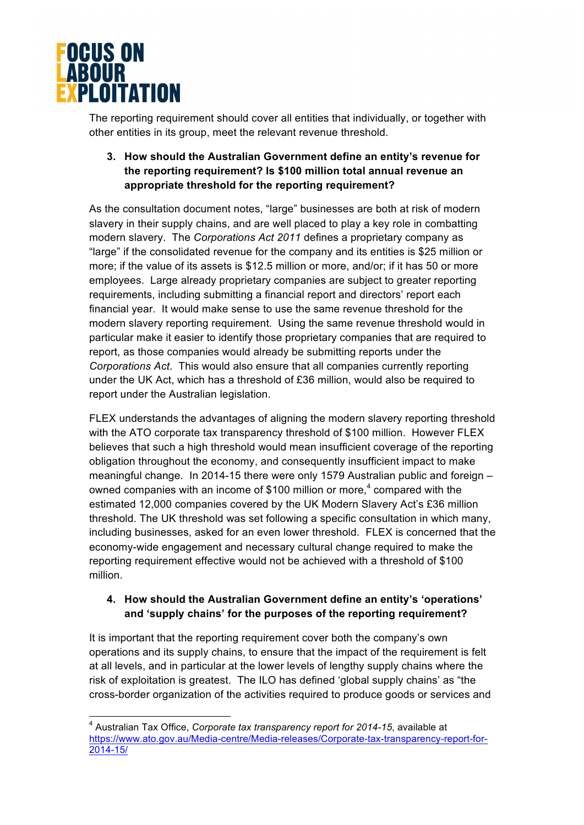

The reporting requirement should cover all entities that individually, or together with other entities in its group, meet the relevant revenue threshold.

#### **3. How should the Australian Government define an entity's revenue for the reporting requirement? Is \$100 million total annual revenue an appropriate threshold for the reporting requirement?**

As the consultation document notes, "large" businesses are both at risk of modern slavery in their supply chains, and are well placed to play a key role in combatting modern slavery. The *Corporations Act 2011* defines a proprietary company as "large" if the consolidated revenue for the company and its entities is \$25 million or more; if the value of its assets is \$12.5 million or more, and/or; if it has 50 or more employees. Large already proprietary companies are subject to greater reporting requirements, including submitting a financial report and directors' report each financial year. It would make sense to use the same revenue threshold for the modern slavery reporting requirement. Using the same revenue threshold would in particular make it easier to identify those proprietary companies that are required to report, as those companies would already be submitting reports under the *Corporations Act*. This would also ensure that all companies currently reporting under the UK Act, which has a threshold of £36 million, would also be required to report under the Australian legislation.

FLEX understands the advantages of aligning the modern slavery reporting threshold with the ATO corporate tax transparency threshold of \$100 million. However FLEX believes that such a high threshold would mean insufficient coverage of the reporting obligation throughout the economy, and consequently insufficient impact to make meaningful change. In 2014-15 there were only 1579 Australian public and foreign – owned companies with an income of \$100 million or more, $4$  compared with the estimated 12,000 companies covered by the UK Modern Slavery Act's £36 million threshold. The UK threshold was set following a specific consultation in which many, including businesses, asked for an even lower threshold. FLEX is concerned that the economy-wide engagement and necessary cultural change required to make the reporting requirement effective would not be achieved with a threshold of \$100 million.

#### **4. How should the Australian Government define an entity's 'operations' and 'supply chains' for the purposes of the reporting requirement?**

It is important that the reporting requirement cover both the company's own operations and its supply chains, to ensure that the impact of the requirement is felt at all levels, and in particular at the lower levels of lengthy supply chains where the risk of exploitation is greatest. The ILO has defined 'global supply chains' as "the cross-border organization of the activities required to produce goods or services and

 <sup>4</sup> Australian Tax Office, *Corporate tax transparency report for 2014-15*, available at https://www.ato.gov.au/Media-centre/Media-releases/Corporate-tax-transparency-report-for-2014-15/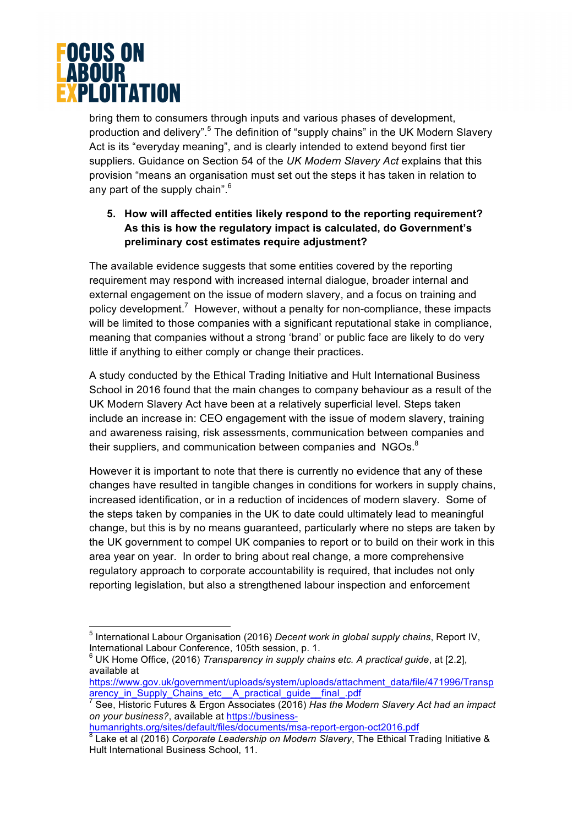

bring them to consumers through inputs and various phases of development, production and delivery".<sup>5</sup> The definition of "supply chains" in the UK Modern Slavery Act is its "everyday meaning", and is clearly intended to extend beyond first tier suppliers. Guidance on Section 54 of the *UK Modern Slavery Act* explains that this provision "means an organisation must set out the steps it has taken in relation to any part of the supply chain".<sup>6</sup>

#### **5. How will affected entities likely respond to the reporting requirement? As this is how the regulatory impact is calculated, do Government's preliminary cost estimates require adjustment?**

The available evidence suggests that some entities covered by the reporting requirement may respond with increased internal dialogue, broader internal and external engagement on the issue of modern slavery, and a focus on training and policy development.<sup>7</sup> However, without a penalty for non-compliance, these impacts will be limited to those companies with a significant reputational stake in compliance, meaning that companies without a strong 'brand' or public face are likely to do very little if anything to either comply or change their practices.

A study conducted by the Ethical Trading Initiative and Hult International Business School in 2016 found that the main changes to company behaviour as a result of the UK Modern Slavery Act have been at a relatively superficial level. Steps taken include an increase in: CEO engagement with the issue of modern slavery, training and awareness raising, risk assessments, communication between companies and their suppliers, and communication between companies and  $NGOs.^8$ 

However it is important to note that there is currently no evidence that any of these changes have resulted in tangible changes in conditions for workers in supply chains, increased identification, or in a reduction of incidences of modern slavery. Some of the steps taken by companies in the UK to date could ultimately lead to meaningful change, but this is by no means guaranteed, particularly where no steps are taken by the UK government to compel UK companies to report or to build on their work in this area year on year. In order to bring about real change, a more comprehensive regulatory approach to corporate accountability is required, that includes not only reporting legislation, but also a strengthened labour inspection and enforcement

<sup>6</sup> UK Home Office, (2016) *Transparency in supply chains etc. A practical guide*, at [2.2], available at

 <sup>5</sup> International Labour Organisation (2016) *Decent work in global supply chains*, Report IV, International Labour Conference, 105th session, p. 1.

https://www.gov.uk/government/uploads/system/uploads/attachment\_data/file/471996/Transp arency\_in\_Supply\_Chains\_etc\_\_A\_practical\_guide\_\_final\_.pdf

<sup>7</sup> See, Historic Futures & Ergon Associates (2016) *Has the Modern Slavery Act had an impact on your business?*, available at https://business-

humanrights.org/sites/default/files/documents/msa-report-ergon-oct2016.pdf <sup>8</sup> Lake et al (2016) *Corporate Leadership on Modern Slavery*, The Ethical Trading Initiative & Hult International Business School, 11.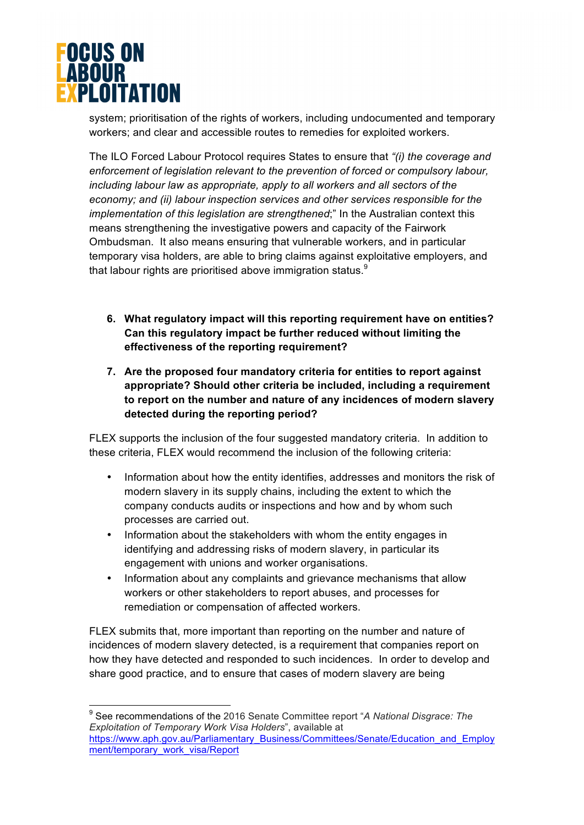

system; prioritisation of the rights of workers, including undocumented and temporary workers; and clear and accessible routes to remedies for exploited workers.

The ILO Forced Labour Protocol requires States to ensure that *"(i) the coverage and enforcement of legislation relevant to the prevention of forced or compulsory labour, including labour law as appropriate, apply to all workers and all sectors of the economy; and (ii) labour inspection services and other services responsible for the implementation of this legislation are strengthened*;" In the Australian context this means strengthening the investigative powers and capacity of the Fairwork Ombudsman. It also means ensuring that vulnerable workers, and in particular temporary visa holders, are able to bring claims against exploitative employers, and that labour rights are prioritised above immigration status. $9$ 

- **6. What regulatory impact will this reporting requirement have on entities? Can this regulatory impact be further reduced without limiting the effectiveness of the reporting requirement?**
- **7. Are the proposed four mandatory criteria for entities to report against appropriate? Should other criteria be included, including a requirement to report on the number and nature of any incidences of modern slavery detected during the reporting period?**

FLEX supports the inclusion of the four suggested mandatory criteria. In addition to these criteria, FLEX would recommend the inclusion of the following criteria:

- Information about how the entity identifies, addresses and monitors the risk of modern slavery in its supply chains, including the extent to which the company conducts audits or inspections and how and by whom such processes are carried out.
- Information about the stakeholders with whom the entity engages in identifying and addressing risks of modern slavery, in particular its engagement with unions and worker organisations.
- Information about any complaints and grievance mechanisms that allow workers or other stakeholders to report abuses, and processes for remediation or compensation of affected workers.

FLEX submits that, more important than reporting on the number and nature of incidences of modern slavery detected, is a requirement that companies report on how they have detected and responded to such incidences. In order to develop and share good practice, and to ensure that cases of modern slavery are being

 <sup>9</sup> See recommendations of the 2016 Senate Committee report "*A National Disgrace: The Exploitation of Temporary Work Visa Holders*", available at https://www.aph.gov.au/Parliamentary\_Business/Committees/Senate/Education\_and\_Employ ment/temporary\_work\_visa/Report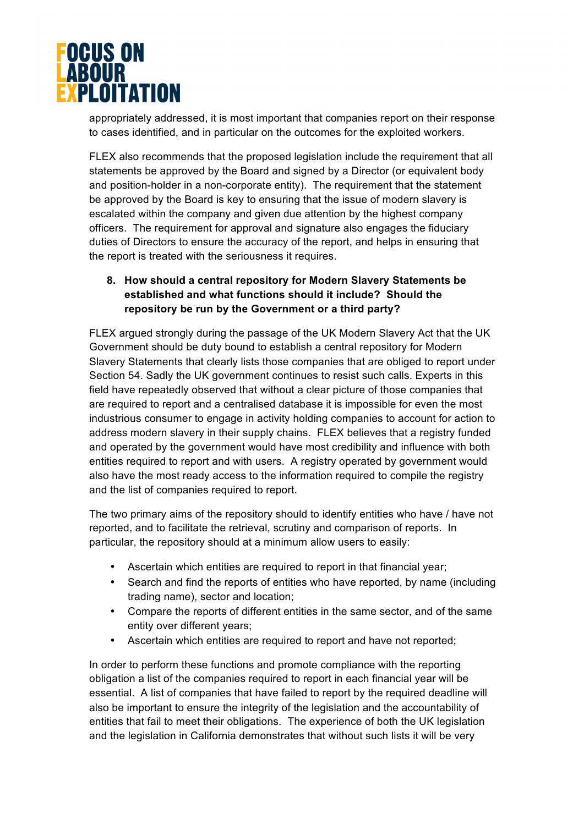

appropriately addressed, it is most important that companies report on their response to cases identified, and in particular on the outcomes for the exploited workers.

FLEX also recommends that the proposed legislation include the requirement that all statements be approved by the Board and signed by a Director (or equivalent body and position-holder in a non-corporate entity). The requirement that the statement be approved by the Board is key to ensuring that the issue of modern slavery is escalated within the company and given due attention by the highest company officers. The requirement for approval and signature also engages the fiduciary duties of Directors to ensure the accuracy of the report, and helps in ensuring that the report is treated with the seriousness it requires.

#### **8. How should a central repository for Modern Slavery Statements be established and what functions should it include? Should the repository be run by the Government or a third party?**

FLEX argued strongly during the passage of the UK Modern Slavery Act that the UK Government should be duty bound to establish a central repository for Modern Slavery Statements that clearly lists those companies that are obliged to report under Section 54. Sadly the UK government continues to resist such calls. Experts in this field have repeatedly observed that without a clear picture of those companies that are required to report and a centralised database it is impossible for even the most industrious consumer to engage in activity holding companies to account for action to address modern slavery in their supply chains. FLEX believes that a registry funded and operated by the government would have most credibility and influence with both entities required to report and with users. A registry operated by government would also have the most ready access to the information required to compile the registry and the list of companies required to report.

The two primary aims of the repository should to identify entities who have / have not reported, and to facilitate the retrieval, scrutiny and comparison of reports. In particular, the repository should at a minimum allow users to easily:

- Ascertain which entities are required to report in that financial year;
- Search and find the reports of entities who have reported, by name (including trading name), sector and location;
- Compare the reports of different entities in the same sector, and of the same entity over different years;
- Ascertain which entities are required to report and have not reported;

In order to perform these functions and promote compliance with the reporting obligation a list of the companies required to report in each financial year will be essential. A list of companies that have failed to report by the required deadline will also be important to ensure the integrity of the legislation and the accountability of entities that fail to meet their obligations. The experience of both the UK legislation and the legislation in California demonstrates that without such lists it will be very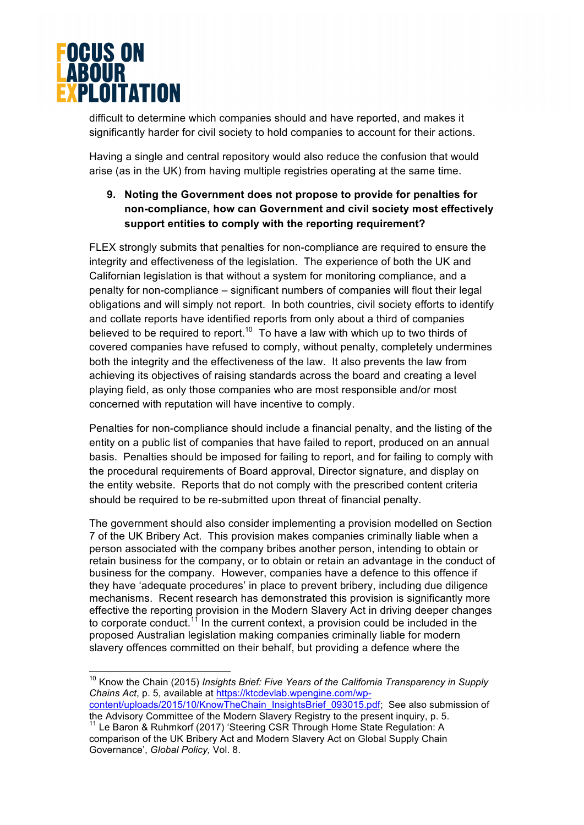

difficult to determine which companies should and have reported, and makes it significantly harder for civil society to hold companies to account for their actions.

Having a single and central repository would also reduce the confusion that would arise (as in the UK) from having multiple registries operating at the same time.

#### **9. Noting the Government does not propose to provide for penalties for non-compliance, how can Government and civil society most effectively support entities to comply with the reporting requirement?**

FLEX strongly submits that penalties for non-compliance are required to ensure the integrity and effectiveness of the legislation. The experience of both the UK and Californian legislation is that without a system for monitoring compliance, and a penalty for non-compliance – significant numbers of companies will flout their legal obligations and will simply not report. In both countries, civil society efforts to identify and collate reports have identified reports from only about a third of companies believed to be required to report.<sup>10</sup> To have a law with which up to two thirds of covered companies have refused to comply, without penalty, completely undermines both the integrity and the effectiveness of the law. It also prevents the law from achieving its objectives of raising standards across the board and creating a level playing field, as only those companies who are most responsible and/or most concerned with reputation will have incentive to comply.

Penalties for non-compliance should include a financial penalty, and the listing of the entity on a public list of companies that have failed to report, produced on an annual basis. Penalties should be imposed for failing to report, and for failing to comply with the procedural requirements of Board approval, Director signature, and display on the entity website. Reports that do not comply with the prescribed content criteria should be required to be re-submitted upon threat of financial penalty.

The government should also consider implementing a provision modelled on Section 7 of the UK Bribery Act. This provision makes companies criminally liable when a person associated with the company bribes another person, intending to obtain or retain business for the company, or to obtain or retain an advantage in the conduct of business for the company. However, companies have a defence to this offence if they have 'adequate procedures' in place to prevent bribery, including due diligence mechanisms. Recent research has demonstrated this provision is significantly more effective the reporting provision in the Modern Slavery Act in driving deeper changes to corporate conduct.<sup>11</sup> In the current context, a provision could be included in the proposed Australian legislation making companies criminally liable for modern slavery offences committed on their behalf, but providing a defence where the

 10 Know the Chain (2015) *Insights Brief: Five Years of the California Transparency in Supply Chains Act*, p. 5, available at https://ktcdevlab.wpengine.com/wp-

content/uploads/2015/10/KnowTheChain\_InsightsBrief\_093015.pdf; See also submission of the Advisory Committee of the Modern Slavery Registry to the present inquiry, p. 5.

 $11$  Le Baron & Ruhmkorf (2017) 'Steering CSR Through Home State Regulation: A comparison of the UK Bribery Act and Modern Slavery Act on Global Supply Chain Governance', *Global Policy,* Vol. 8.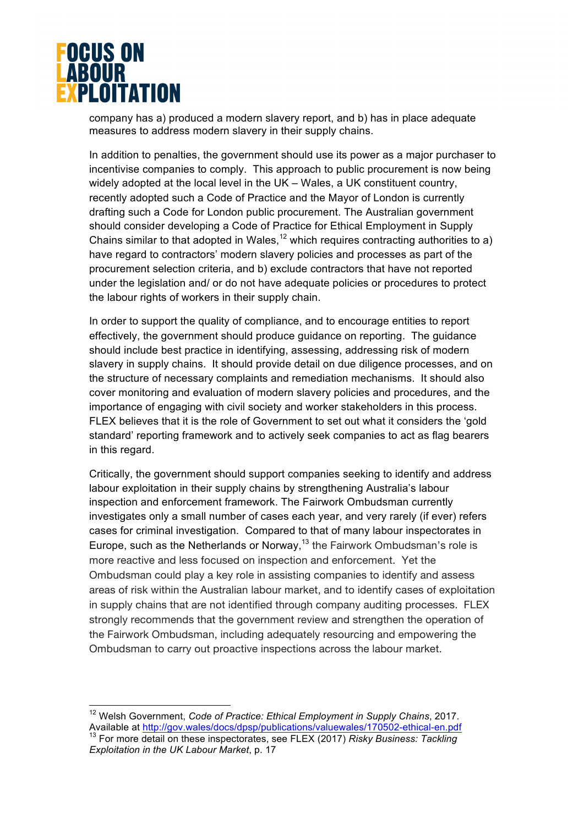

company has a) produced a modern slavery report, and b) has in place adequate measures to address modern slavery in their supply chains.

In addition to penalties, the government should use its power as a major purchaser to incentivise companies to comply. This approach to public procurement is now being widely adopted at the local level in the UK – Wales, a UK constituent country, recently adopted such a Code of Practice and the Mayor of London is currently drafting such a Code for London public procurement. The Australian government should consider developing a Code of Practice for Ethical Employment in Supply Chains similar to that adopted in Wales,<sup>12</sup> which requires contracting authorities to a) have regard to contractors' modern slavery policies and processes as part of the procurement selection criteria, and b) exclude contractors that have not reported under the legislation and/ or do not have adequate policies or procedures to protect the labour rights of workers in their supply chain.

In order to support the quality of compliance, and to encourage entities to report effectively, the government should produce guidance on reporting. The guidance should include best practice in identifying, assessing, addressing risk of modern slavery in supply chains. It should provide detail on due diligence processes, and on the structure of necessary complaints and remediation mechanisms. It should also cover monitoring and evaluation of modern slavery policies and procedures, and the importance of engaging with civil society and worker stakeholders in this process. FLEX believes that it is the role of Government to set out what it considers the 'gold standard' reporting framework and to actively seek companies to act as flag bearers in this regard.

Critically, the government should support companies seeking to identify and address labour exploitation in their supply chains by strengthening Australia's labour inspection and enforcement framework. The Fairwork Ombudsman currently investigates only a small number of cases each year, and very rarely (if ever) refers cases for criminal investigation. Compared to that of many labour inspectorates in Europe, such as the Netherlands or Norway, $13$  the Fairwork Ombudsman's role is more reactive and less focused on inspection and enforcement. Yet the Ombudsman could play a key role in assisting companies to identify and assess areas of risk within the Australian labour market, and to identify cases of exploitation in supply chains that are not identified through company auditing processes. FLEX strongly recommends that the government review and strengthen the operation of the Fairwork Ombudsman, including adequately resourcing and empowering the Ombudsman to carry out proactive inspections across the labour market.

 12 Welsh Government, *Code of Practice: Ethical Employment in Supply Chains*, 2017. Available at http://gov.wales/docs/dpsp/publications/valuewales/170502-ethical-en.pdf<br><sup>13</sup> For more detail on these inspectorates, see FLEX (2017) *Risky Business: Tackling Exploitation in the UK Labour Market*, p. 17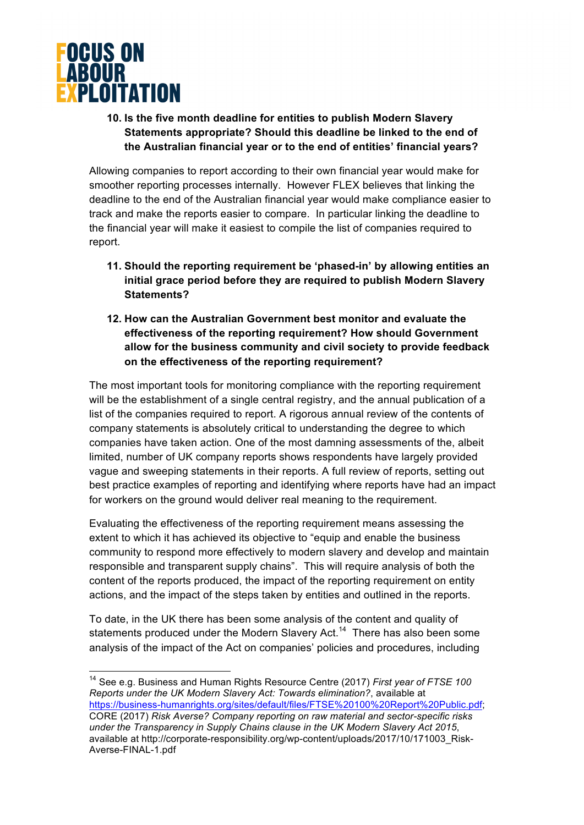

#### **10. Is the five month deadline for entities to publish Modern Slavery Statements appropriate? Should this deadline be linked to the end of the Australian financial year or to the end of entities' financial years?**

Allowing companies to report according to their own financial year would make for smoother reporting processes internally. However FLEX believes that linking the deadline to the end of the Australian financial year would make compliance easier to track and make the reports easier to compare. In particular linking the deadline to the financial year will make it easiest to compile the list of companies required to report.

- **11. Should the reporting requirement be 'phased-in' by allowing entities an initial grace period before they are required to publish Modern Slavery Statements?**
- **12. How can the Australian Government best monitor and evaluate the effectiveness of the reporting requirement? How should Government allow for the business community and civil society to provide feedback on the effectiveness of the reporting requirement?**

The most important tools for monitoring compliance with the reporting requirement will be the establishment of a single central registry, and the annual publication of a list of the companies required to report. A rigorous annual review of the contents of company statements is absolutely critical to understanding the degree to which companies have taken action. One of the most damning assessments of the, albeit limited, number of UK company reports shows respondents have largely provided vague and sweeping statements in their reports. A full review of reports, setting out best practice examples of reporting and identifying where reports have had an impact for workers on the ground would deliver real meaning to the requirement.

Evaluating the effectiveness of the reporting requirement means assessing the extent to which it has achieved its objective to "equip and enable the business community to respond more effectively to modern slavery and develop and maintain responsible and transparent supply chains". This will require analysis of both the content of the reports produced, the impact of the reporting requirement on entity actions, and the impact of the steps taken by entities and outlined in the reports.

To date, in the UK there has been some analysis of the content and quality of statements produced under the Modern Slavery Act.<sup>14</sup> There has also been some analysis of the impact of the Act on companies' policies and procedures, including

 14 See e.g. Business and Human Rights Resource Centre (2017) *First year of FTSE 100 Reports under the UK Modern Slavery Act: Towards elimination?*, available at https://business-humanrights.org/sites/default/files/FTSE%20100%20Report%20Public.pdf; CORE (2017) *Risk Averse? Company reporting on raw material and sector-specific risks under the Transparency in Supply Chains clause in the UK Modern Slavery Act 2015*, available at http://corporate-responsibility.org/wp-content/uploads/2017/10/171003\_Risk-Averse-FINAL-1.pdf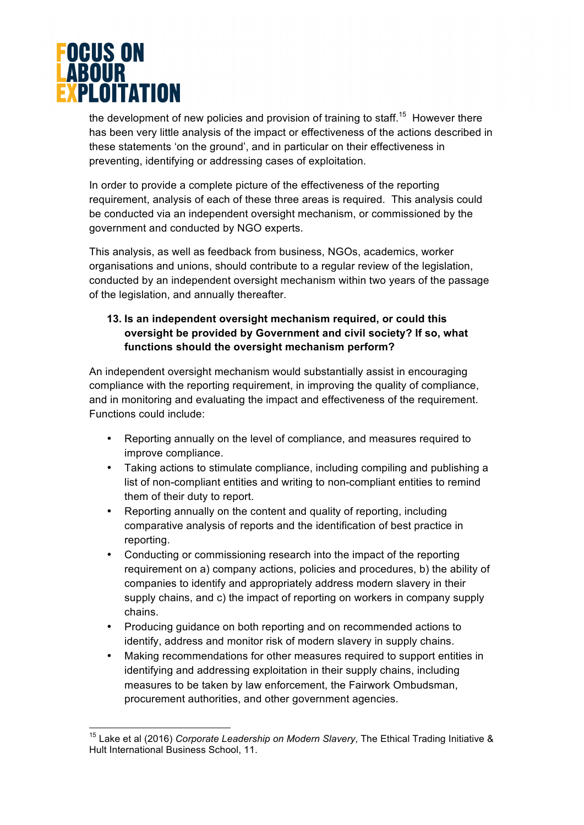

the development of new policies and provision of training to staff.<sup>15</sup> However there has been very little analysis of the impact or effectiveness of the actions described in these statements 'on the ground', and in particular on their effectiveness in preventing, identifying or addressing cases of exploitation.

In order to provide a complete picture of the effectiveness of the reporting requirement, analysis of each of these three areas is required. This analysis could be conducted via an independent oversight mechanism, or commissioned by the government and conducted by NGO experts.

This analysis, as well as feedback from business, NGOs, academics, worker organisations and unions, should contribute to a regular review of the legislation, conducted by an independent oversight mechanism within two years of the passage of the legislation, and annually thereafter.

#### **13. Is an independent oversight mechanism required, or could this oversight be provided by Government and civil society? If so, what functions should the oversight mechanism perform?**

An independent oversight mechanism would substantially assist in encouraging compliance with the reporting requirement, in improving the quality of compliance, and in monitoring and evaluating the impact and effectiveness of the requirement. Functions could include:

- Reporting annually on the level of compliance, and measures required to improve compliance.
- Taking actions to stimulate compliance, including compiling and publishing a list of non-compliant entities and writing to non-compliant entities to remind them of their duty to report.
- Reporting annually on the content and quality of reporting, including comparative analysis of reports and the identification of best practice in reporting.
- Conducting or commissioning research into the impact of the reporting requirement on a) company actions, policies and procedures, b) the ability of companies to identify and appropriately address modern slavery in their supply chains, and c) the impact of reporting on workers in company supply chains.
- Producing guidance on both reporting and on recommended actions to identify, address and monitor risk of modern slavery in supply chains.
- Making recommendations for other measures required to support entities in identifying and addressing exploitation in their supply chains, including measures to be taken by law enforcement, the Fairwork Ombudsman, procurement authorities, and other government agencies.

 <sup>15</sup> Lake et al (2016) *Corporate Leadership on Modern Slavery*, The Ethical Trading Initiative & Hult International Business School, 11.